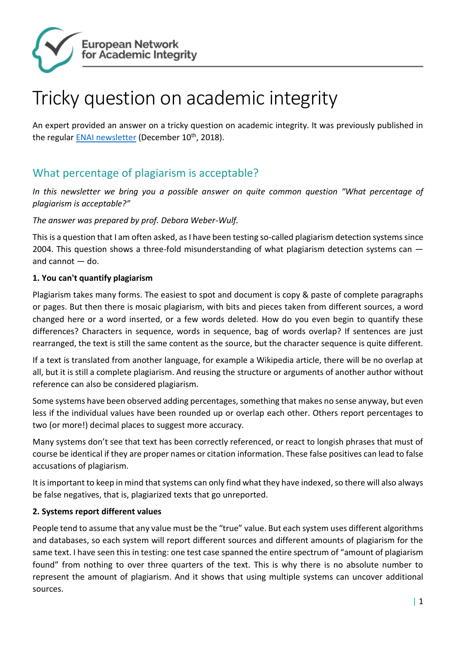

# Tricky question on academic integrity

An expert provided an answer on a tricky question on academic integrity. It was previously published in the regular **ENAI newsletter** (December 10<sup>th</sup>, 2018).

## What percentage of plagiarism is acceptable?

*In this newsletter we bring you a possible answer on quite common question "What percentage of plagiarism is acceptable?"*

#### *The answer was prepared by prof. Debora Weber-Wulf.*

This is a question that I am often asked, as I have been testing so-called plagiarism detection systems since 2004. This question shows a three-fold misunderstanding of what plagiarism detection systems can and cannot — do.

#### **1. You can't quantify plagiarism**

Plagiarism takes many forms. The easiest to spot and document is copy & paste of complete paragraphs or pages. But then there is mosaic plagiarism, with bits and pieces taken from different sources, a word changed here or a word inserted, or a few words deleted. How do you even begin to quantify these differences? Characters in sequence, words in sequence, bag of words overlap? If sentences are just rearranged, the text is still the same content as the source, but the character sequence is quite different.

If a text is translated from another language, for example a Wikipedia article, there will be no overlap at all, but it is still a complete plagiarism. And reusing the structure or arguments of another author without reference can also be considered plagiarism.

Some systems have been observed adding percentages, something that makes no sense anyway, but even less if the individual values have been rounded up or overlap each other. Others report percentages to two (or more!) decimal places to suggest more accuracy.

Many systems don't see that text has been correctly referenced, or react to longish phrases that must of course be identical if they are proper names or citation information. These false positives can lead to false accusations of plagiarism.

It is important to keep in mind that systems can only find what they have indexed, so there will also always be false negatives, that is, plagiarized texts that go unreported.

#### **2. Systems report different values**

People tend to assume that any value must be the "true" value. But each system uses different algorithms and databases, so each system will report different sources and different amounts of plagiarism for the same text. I have seen this in testing: one test case spanned the entire spectrum of "amount of plagiarism found" from nothing to over three quarters of the text. This is why there is no absolute number to represent the amount of plagiarism. And it shows that using multiple systems can uncover additional sources.